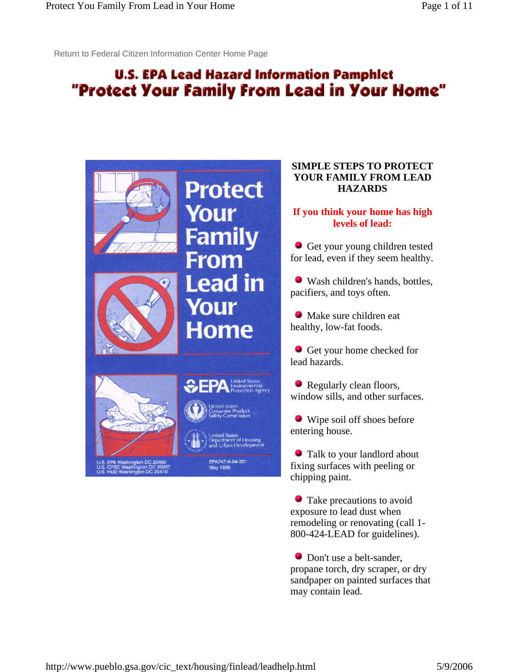Return to Federal Citizen Information Center Home Page

## **U.S. EPA Lead Hazard Information Pamphlet** "Protect Your Family From Lead in Your Home"





**Protect** Your **Family From Lead in** Your Home

nt of Housing<br>Clevelopment

EPA747-K-94-001

May 1995



U.S. EPA Washington DC 20480<br>U.S. CPSC Washington DC 2020<br>U.S. HUD Washington DC 20410

#### **SIMPLE STEPS TO PROTECT YOUR FAMILY FROM LEAD HAZARDS**

#### **If you think your home has high levels of lead:**

Get your young children tested for lead, even if they seem healthy.

Wash children's hands, bottles, pacifiers, and toys often.

• Make sure children eat healthy, low-fat foods.

**Get your home checked for** lead hazards.

• Regularly clean floors, window sills, and other surfaces.

Wipe soil off shoes before entering house.

Talk to your landlord about fixing surfaces with peeling or chipping paint.

• Take precautions to avoid exposure to lead dust when remodeling or renovating (call 1- 800-424-LEAD for guidelines).

• Don't use a belt-sander, propane torch, dry scraper, or dry sandpaper on painted surfaces that may contain lead.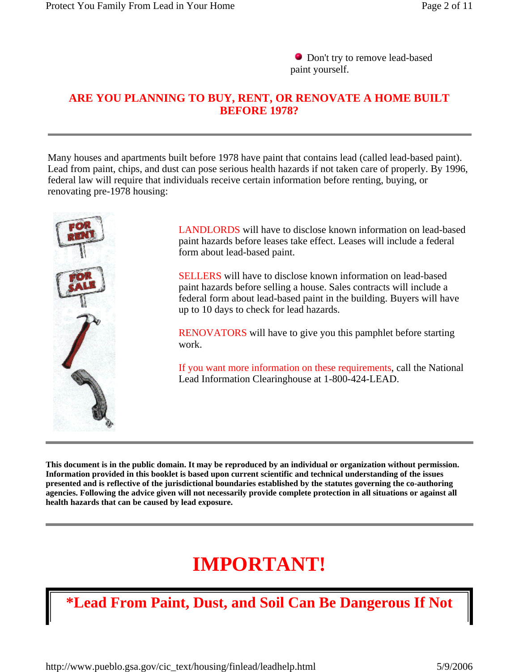• Don't try to remove lead-based paint yourself.

#### **ARE YOU PLANNING TO BUY, RENT, OR RENOVATE A HOME BUILT BEFORE 1978?**

Many houses and apartments built before 1978 have paint that contains lead (called lead-based paint). Lead from paint, chips, and dust can pose serious health hazards if not taken care of properly. By 1996, federal law will require that individuals receive certain information before renting, buying, or renovating pre-1978 housing:



LANDLORDS will have to disclose known information on lead-based paint hazards before leases take effect. Leases will include a federal form about lead-based paint.

SELLERS will have to disclose known information on lead-based paint hazards before selling a house. Sales contracts will include a federal form about lead-based paint in the building. Buyers will have up to 10 days to check for lead hazards.

RENOVATORS will have to give you this pamphlet before starting work.

If you want more information on these requirements, call the National Lead Information Clearinghouse at 1-800-424-LEAD.

**This document is in the public domain. It may be reproduced by an individual or organization without permission. Information provided in this booklet is based upon current scientific and technical understanding of the issues presented and is reflective of the jurisdictional boundaries established by the statutes governing the co-authoring agencies. Following the advice given will not necessarily provide complete protection in all situations or against all health hazards that can be caused by lead exposure.** 

# **IMPORTANT!**

## **\*Lead From Paint, Dust, and Soil Can Be Dangerous If Not**

http://www.pueblo.gsa.gov/cic\_text/housing/finlead/leadhelp.html 5/9/2006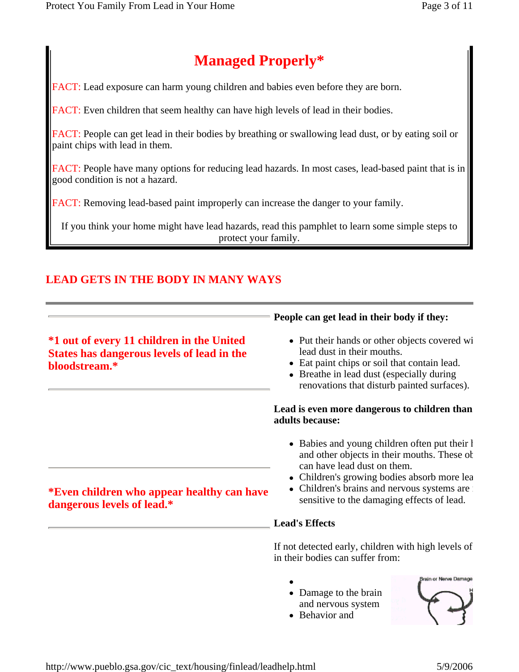## **Managed Properly\***

FACT: Lead exposure can harm young children and babies even before they are born.

FACT: Even children that seem healthy can have high levels of lead in their bodies.

FACT: People can get lead in their bodies by breathing or swallowing lead dust, or by eating soil or paint chips with lead in them.

FACT: People have many options for reducing lead hazards. In most cases, lead-based paint that is in good condition is not a hazard.

FACT: Removing lead-based paint improperly can increase the danger to your family.

If you think your home might have lead hazards, read this pamphlet to learn some simple steps to protect your family.

## **LEAD GETS IN THE BODY IN MANY WAYS**

#### **\*1 out of every 11 children in the United States has dangerous levels of lead in the bloodstream.\***

**\*Even children who appear healthy can have** 

**dangerous levels of lead.\***

#### **People can get lead in their body if they:**

- Put their hands or other objects covered wi lead dust in their mouths.
- Eat paint chips or soil that contain lead.
- Breathe in lead dust (especially during renovations that disturb painted surfaces).

#### **Lead is even more dangerous to children than adults because:**

- Babies and young children often put their l and other objects in their mouths. These ob can have lead dust on them.
- Children's growing bodies absorb more lea
- Children's brains and nervous systems are  $\blacksquare$ sensitive to the damaging effects of lead.

#### **Lead's Effects**

If not detected early, children with high levels of in their bodies can suffer from:

- $\bullet$
- Damage to the brain and nervous system
- Behavior and

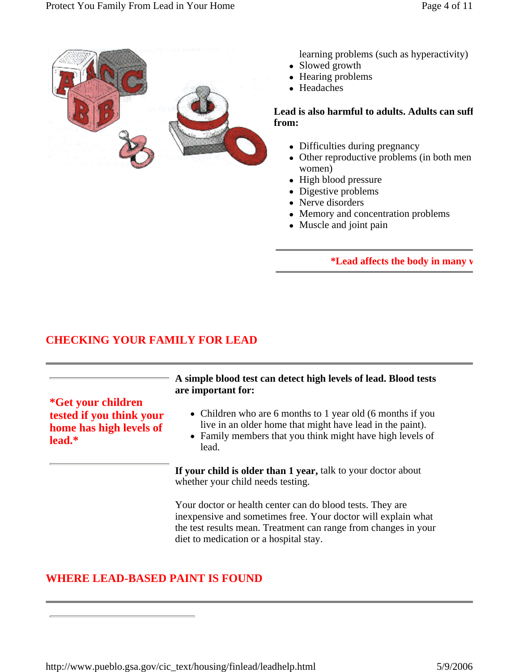

learning problems (such as hyperactivity)

- Slowed growth
- Hearing problems
- Headaches

**Lead is also harmful to adults. Adults can suff from:** 

- Difficulties during pregnancy
- Other reproductive problems (in both men women)
- High blood pressure
- Digestive problems
- $\bullet$  Nerve disorders
- Memory and concentration problems
- Muscle and joint pain

## **\*Lead affects the body in many w**

## **CHECKING YOUR FAMILY FOR LEAD**

|                                                                                            | A simple blood test can detect high levels of lead. Blood tests<br>are important for:                                                                                                                                                    |
|--------------------------------------------------------------------------------------------|------------------------------------------------------------------------------------------------------------------------------------------------------------------------------------------------------------------------------------------|
| <i>*Get your children</i><br>tested if you think your<br>home has high levels of<br>lead.* | • Children who are 6 months to 1 year old (6 months if you<br>live in an older home that might have lead in the paint).<br>• Family members that you think might have high levels of<br>lead.                                            |
|                                                                                            | If your child is older than 1 year, talk to your doctor about<br>whether your child needs testing.                                                                                                                                       |
|                                                                                            | Your doctor or health center can do blood tests. They are<br>in expensive and sometimes free. Your doctor will explain what<br>the test results mean. Treatment can range from changes in your<br>diet to medication or a hospital stay. |

## **WHERE LEAD-BASED PAINT IS FOUND**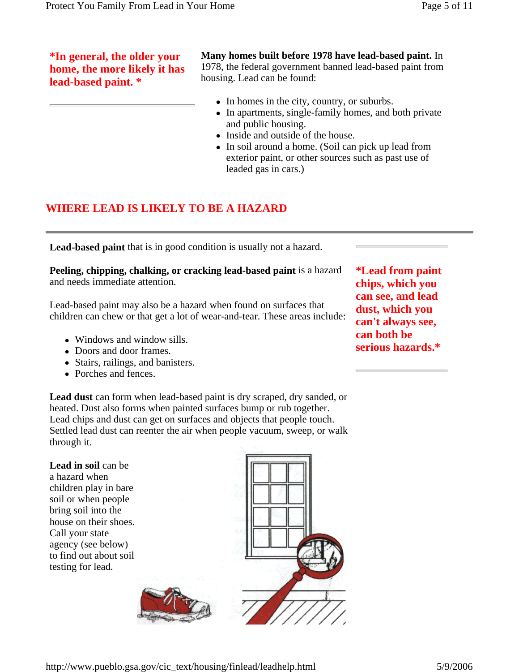**\*In general, the older your home, the more likely it has lead-based paint. \***

**Many homes built before 1978 have lead-based paint.** In 1978, the federal government banned lead-based paint from housing. Lead can be found:

- In homes in the city, country, or suburbs.
- In apartments, single-family homes, and both private and public housing.
- Inside and outside of the house.
- In soil around a home. (Soil can pick up lead from exterior paint, or other sources such as past use of leaded gas in cars.)

## **WHERE LEAD IS LIKELY TO BE A HAZARD**

**Lead-based paint** that is in good condition is usually not a hazard.

**Peeling, chipping, chalking, or cracking lead-based paint** is a hazard and needs immediate attention.

Lead-based paint may also be a hazard when found on surfaces that children can chew or that get a lot of wear-and-tear. These areas include:

- Windows and window sills.
- Doors and door frames.
- Stairs, railings, and banisters.
- Porches and fences.

**Lead dust** can form when lead-based paint is dry scraped, dry sanded, or heated. Dust also forms when painted surfaces bump or rub together. Lead chips and dust can get on surfaces and objects that people touch. Settled lead dust can reenter the air when people vacuum, sweep, or walk through it.

**Lead in soil** can be a hazard when children play in bare soil or when people bring soil into the house on their shoes. Call your state agency (see below) to find out about soil testing for lead.



**\*Lead from paint chips, which you can see, and lead dust, which you can't always see, can both be serious hazards.\***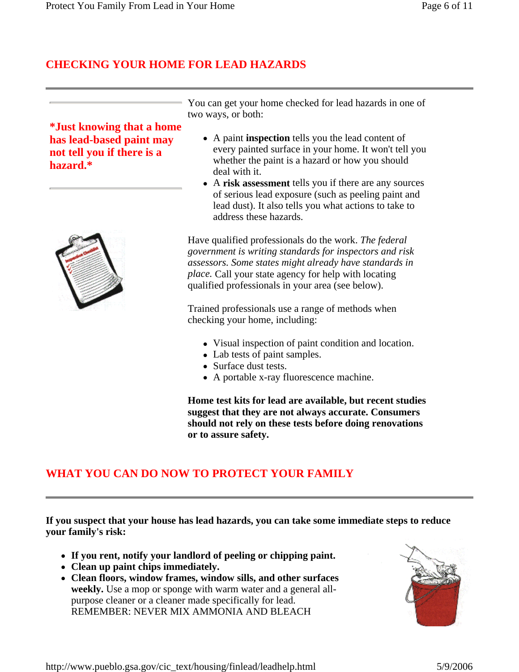## **CHECKING YOUR HOME FOR LEAD HAZARDS**

## **\*Just knowing that a home has lead-based paint may not tell you if there is a hazard.\***



You can get your home checked for lead hazards in one of two ways, or both:

- A paint **inspection** tells you the lead content of every painted surface in your home. It won't tell you whether the paint is a hazard or how you should deal with it.
- A **risk assessment** tells you if there are any sources of serious lead exposure (such as peeling paint and lead dust). It also tells you what actions to take to address these hazards.

Have qualified professionals do the work. *The federal government is writing standards for inspectors and risk assessors. Some states might already have standards in place.* Call your state agency for help with locating qualified professionals in your area (see below).

Trained professionals use a range of methods when checking your home, including:

- Visual inspection of paint condition and location.
- Lab tests of paint samples.
- Surface dust tests.
- A portable x-ray fluorescence machine.

**Home test kits for lead are available, but recent studies suggest that they are not always accurate. Consumers should not rely on these tests before doing renovations or to assure safety.** 

## **WHAT YOU CAN DO NOW TO PROTECT YOUR FAMILY**

**If you suspect that your house has lead hazards, you can take some immediate steps to reduce your family's risk:**

- If you rent, notify your landlord of peeling or chipping paint.
- Clean up paint chips immediately.
- <sup>z</sup> **Clean floors, window frames, window sills, and other surfaces weekly.** Use a mop or sponge with warm water and a general allpurpose cleaner or a cleaner made specifically for lead. REMEMBER: NEVER MIX AMMONIA AND BLEACH

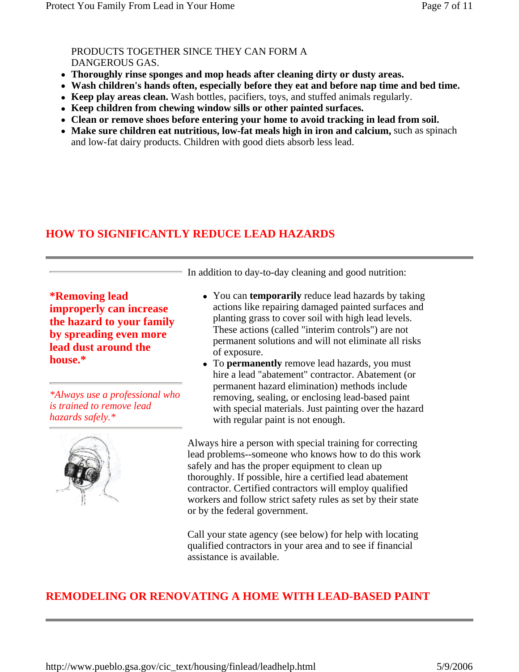PRODUCTS TOGETHER SINCE THEY CAN FORM A DANGEROUS GAS.

- Thoroughly rinse sponges and mop heads after cleaning dirty or dusty areas.
- Wash children's hands often, especially before they eat and before nap time and bed time.
- Keep play areas clean. Wash bottles, pacifiers, toys, and stuffed animals regularly.
- Keep children from chewing window sills or other painted surfaces.
- Clean or remove shoes before entering your home to avoid tracking in lead from soil.
- Make sure children eat nutritious, low-fat meals high in iron and calcium, such as spinach and low-fat dairy products. Children with good diets absorb less lead.

## **HOW TO SIGNIFICANTLY REDUCE LEAD HAZARDS**

In addition to day-to-day cleaning and good nutrition:

**\*Removing lead improperly can increase the hazard to your family by spreading even more lead dust around the house.\***

*\*Always use a professional who is trained to remove lead hazards safely.\**



- You can **temporarily** reduce lead hazards by taking actions like repairing damaged painted surfaces and planting grass to cover soil with high lead levels. These actions (called "interim controls") are not permanent solutions and will not eliminate all risks of exposure.
- To **permanently** remove lead hazards, you must hire a lead "abatement" contractor. Abatement (or permanent hazard elimination) methods include removing, sealing, or enclosing lead-based paint with special materials. Just painting over the hazard with regular paint is not enough.

Always hire a person with special training for correcting lead problems--someone who knows how to do this work safely and has the proper equipment to clean up thoroughly. If possible, hire a certified lead abatement contractor. Certified contractors will employ qualified workers and follow strict safety rules as set by their state or by the federal government.

Call your state agency (see below) for help with locating qualified contractors in your area and to see if financial assistance is available.

## **REMODELING OR RENOVATING A HOME WITH LEAD-BASED PAINT**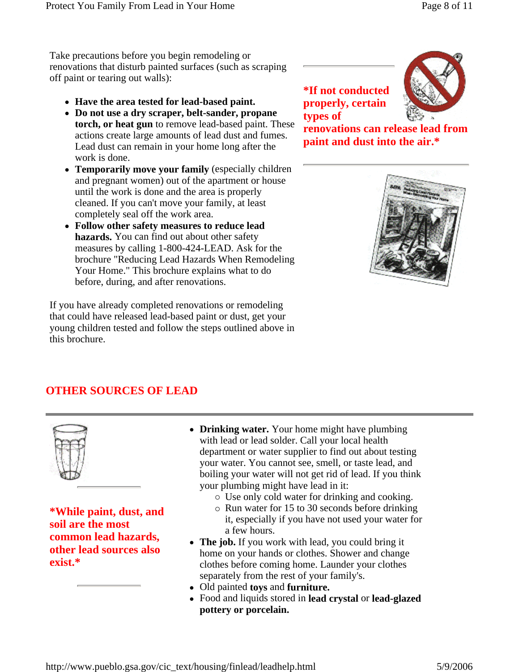Take precautions before you begin remodeling or renovations that disturb painted surfaces (such as scraping off paint or tearing out walls):

- Have the area tested for lead-based paint.
- <sup>z</sup> **Do not use a dry scraper, belt-sander, propane torch, or heat gun** to remove lead-based paint. These actions create large amounts of lead dust and fumes. Lead dust can remain in your home long after the work is done.
- **Temporarily move your family** (especially children and pregnant women) out of the apartment or house until the work is done and the area is properly cleaned. If you can't move your family, at least completely seal off the work area.
- <sup>z</sup> **Follow other safety measures to reduce lead hazards.** You can find out about other safety measures by calling 1-800-424-LEAD. Ask for the brochure "Reducing Lead Hazards When Remodeling Your Home." This brochure explains what to do before, during, and after renovations.

If you have already completed renovations or remodeling that could have released lead-based paint or dust, get your young children tested and follow the steps outlined above in this brochure.

**\*If not conducted properly, certain types of** 



**renovations can release lead from paint and dust into the air.\***



## **OTHER SOURCES OF LEAD**



**\*While paint, dust, and soil are the most common lead hazards, other lead sources also exist.\***

- **Drinking water.** Your home might have plumbing with lead or lead solder. Call your local health department or water supplier to find out about testing your water. You cannot see, smell, or taste lead, and boiling your water will not get rid of lead. If you think your plumbing might have lead in it:
	- $\circ$  Use only cold water for drinking and cooking.
	- { Run water for 15 to 30 seconds before drinking it, especially if you have not used your water for a few hours.
- The job. If you work with lead, you could bring it home on your hands or clothes. Shower and change clothes before coming home. Launder your clothes separately from the rest of your family's.
- <sup>z</sup> Old painted **toys** and **furniture.**
- <sup>z</sup> Food and liquids stored in **lead crystal** or **lead-glazed pottery or porcelain.**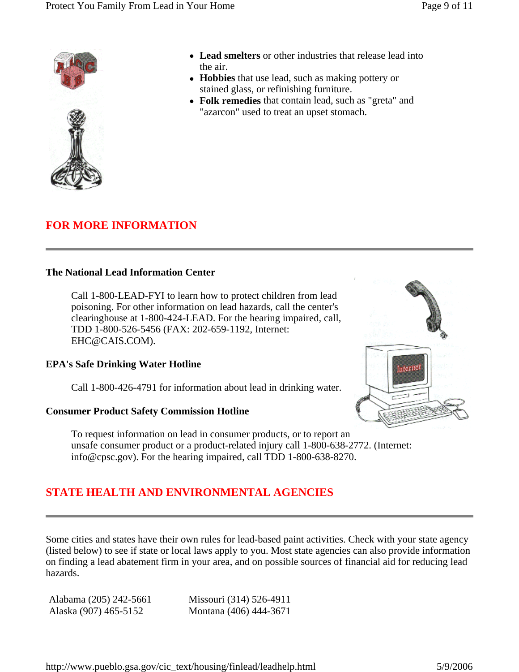

- Lead smelters or other industries that release lead into the air.
- Hobbies that use lead, such as making pottery or stained glass, or refinishing furniture.
- Folk remedies that contain lead, such as "greta" and "azarcon" used to treat an upset stomach.

## **FOR MORE INFORMATION**

#### **The National Lead Information Center**

Call 1-800-LEAD-FYI to learn how to protect children from lead poisoning. For other information on lead hazards, call the center's clearinghouse at 1-800-424-LEAD. For the hearing impaired, call, TDD 1-800-526-5456 (FAX: 202-659-1192, Internet: EHC@CAIS.COM).

#### **EPA's Safe Drinking Water Hotline**

Call 1-800-426-4791 for information about lead in drinking water.

#### **Consumer Product Safety Commission Hotline**



To request information on lead in consumer products, or to report an unsafe consumer product or a product-related injury call 1-800-638-2772. (Internet: info@cpsc.gov). For the hearing impaired, call TDD 1-800-638-8270.

## **STATE HEALTH AND ENVIRONMENTAL AGENCIES**

Some cities and states have their own rules for lead-based paint activities. Check with your state agency (listed below) to see if state or local laws apply to you. Most state agencies can also provide information on finding a lead abatement firm in your area, and on possible sources of financial aid for reducing lead hazards.

Alabama (205) 242-5661 Alaska (907) 465-5152

Missouri (314) 526-4911 Montana (406) 444-3671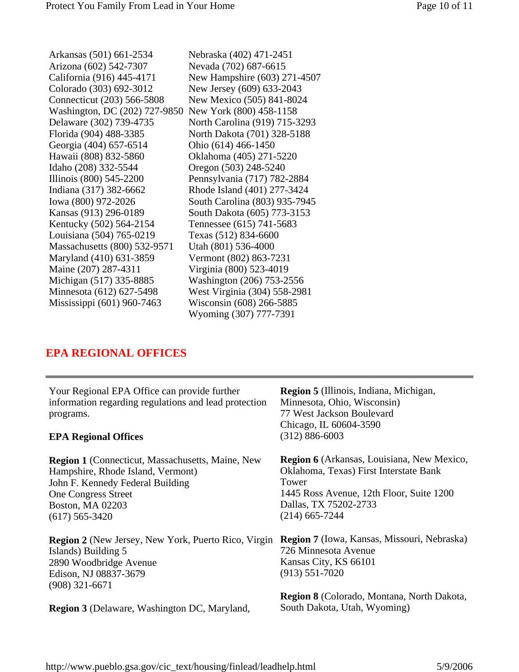| Arkansas (501) 661-2534       | Nebraska (402) 471-2451       |
|-------------------------------|-------------------------------|
| Arizona (602) 542-7307        | Nevada (702) 687-6615         |
| California (916) 445-4171     | New Hampshire (603) 271-4507  |
| Colorado (303) 692-3012       | New Jersey (609) 633-2043     |
| Connecticut (203) 566-5808    | New Mexico (505) 841-8024     |
| Washington, DC (202) 727-9850 | New York (800) 458-1158       |
| Delaware (302) 739-4735       | North Carolina (919) 715-3293 |
| Florida (904) 488-3385        | North Dakota (701) 328-5188   |
| Georgia (404) 657-6514        | Ohio (614) 466-1450           |
| Hawaii (808) 832-5860         | Oklahoma (405) 271-5220       |
| Idaho (208) 332-5544          | Oregon (503) 248-5240         |
| Illinois (800) 545-2200       | Pennsylvania (717) 782-2884   |
| Indiana (317) 382-6662        | Rhode Island (401) 277-3424   |
| Iowa (800) 972-2026           | South Carolina (803) 935-7945 |
| Kansas (913) 296-0189         | South Dakota (605) 773-3153   |
| Kentucky (502) 564-2154       | Tennessee (615) 741-5683      |
| Louisiana (504) 765-0219      | Texas (512) 834-6600          |
| Massachusetts (800) 532-9571  | Utah (801) 536-4000           |
| Maryland (410) 631-3859       | Vermont (802) 863-7231        |
| Maine (207) 287-4311          | Virginia (800) 523-4019       |
| Michigan (517) 335-8885       | Washington (206) 753-2556     |
| Minnesota (612) 627-5498      | West Virginia (304) 558-2981  |
| Mississippi (601) 960-7463    | Wisconsin (608) 266-5885      |
|                               | Wyoming (307) 777-7391        |

## **EPA REGIONAL OFFICES**

Your Regional EPA Office can provide further information regarding regulations and lead protection programs.

## **EPA Regional Offices**

**Region 1** (Connecticut, Massachusetts, Maine, New Hampshire, Rhode Island, Vermont) John F. Kennedy Federal Building One Congress Street Boston, MA 02203 (617) 565-3420

**Region 2** (New Jersey, New York, Puerto Rico, Virgin **Region 7** (Iowa, Kansas, Missouri, Nebraska) Islands) Building 5 2890 Woodbridge Avenue Edison, NJ 08837-3679 (908) 321-6671

**Region 3** (Delaware, Washington DC, Maryland,

**Region 5** (Illinois, Indiana, Michigan, Minnesota, Ohio, Wisconsin) 77 West Jackson Boulevard Chicago, IL 60604-3590 (312) 886-6003

**Region 6** (Arkansas, Louisiana, New Mexico, Oklahoma, Texas) First Interstate Bank Tower 1445 Ross Avenue, 12th Floor, Suite 1200 Dallas, TX 75202-2733 (214) 665-7244

726 Minnesota Avenue Kansas City, KS 66101 (913) 551-7020

**Region 8** (Colorado, Montana, North Dakota, South Dakota, Utah, Wyoming)